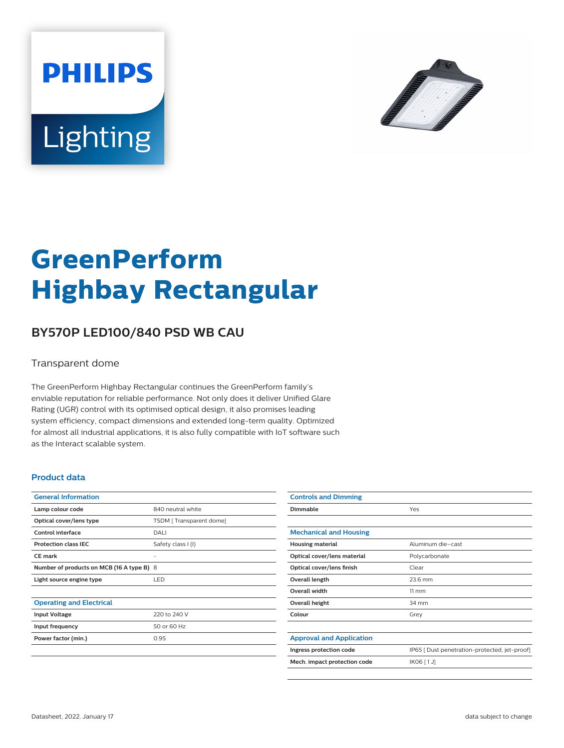



# **GreenPerform Highbay Rectangular**

## **BY570P LED100/840 PSD WB CAU**

#### Transparent dome

The GreenPerform Highbay Rectangular continues the GreenPerform family's enviable reputation for reliable performance. Not only does it deliver Unified Glare Rating (UGR) control with its optimised optical design, it also promises leading system efficiency, compact dimensions and extended long-term quality. Optimized for almost all industrial applications, it is also fully compatible with IoT software such as the Interact scalable system.

#### **Product data**

| <b>General Information</b>                |                         |
|-------------------------------------------|-------------------------|
| Lamp colour code                          | 840 neutral white       |
| Optical cover/lens type                   | TSDM [Transparent dome] |
| Control interface                         | DALI                    |
| <b>Protection class IEC</b>               | Safety class I (I)      |
| CF mark                                   |                         |
| Number of products on MCB (16 A type B) 8 |                         |
| Light source engine type                  | <b>LED</b>              |
|                                           |                         |
| <b>Operating and Electrical</b>           |                         |
| <b>Input Voltage</b>                      | 220 to 240 V            |
| Input frequency                           | 50 or 60 Hz             |
| Power factor (min.)                       | 0.95                    |
|                                           |                         |

| <b>Controls and Dimming</b>     |                                               |
|---------------------------------|-----------------------------------------------|
| Dimmable                        | Yes                                           |
|                                 |                                               |
| <b>Mechanical and Housing</b>   |                                               |
| <b>Housing material</b>         | Aluminum die-cast                             |
| Optical cover/lens material     | Polycarbonate                                 |
| Optical cover/lens finish       | Clear                                         |
| Overall length                  | 23.6 mm                                       |
| <b>Overall width</b>            | $11 \, \mathrm{mm}$                           |
| Overall height                  | 34 mm                                         |
| Colour                          | Grey                                          |
|                                 |                                               |
| <b>Approval and Application</b> |                                               |
| Ingress protection code         | IP65 [ Dust penetration-protected, jet-proof] |
| Mech. impact protection code    | IK06 [1J]                                     |
|                                 |                                               |